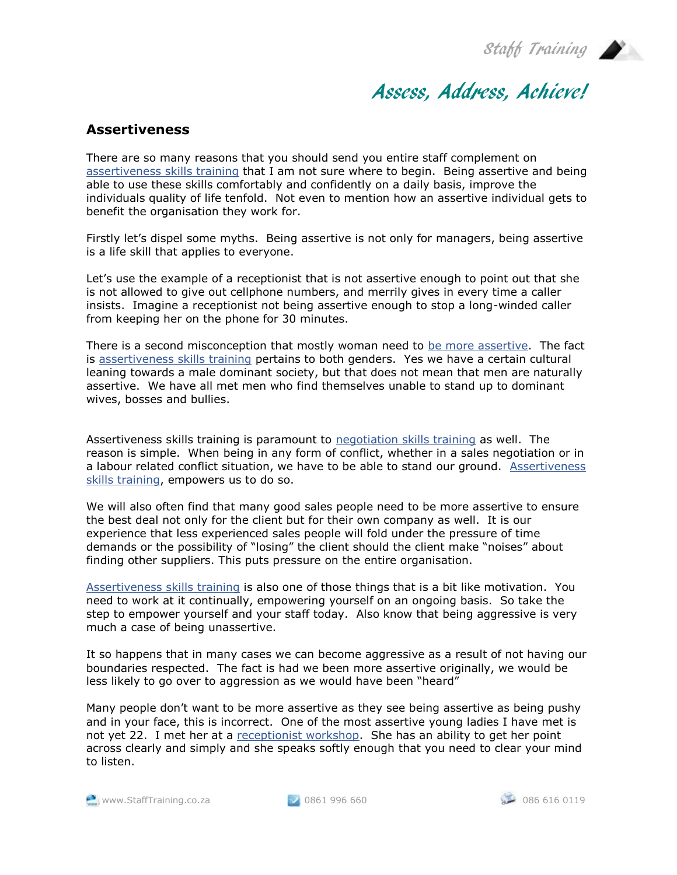Staff Training



## Assess, Address, Achieve!

## **Assertiveness**

There are so many reasons that you should send you entire staff complement on [assertiveness skills training](http://www.stafftraining.co.za/seminarview.php?code=assertiveness) that I am not sure where to begin. Being assertive and being able to use these skills comfortably and confidently on a daily basis, improve the individuals quality of life tenfold. Not even to mention how an assertive individual gets to benefit the organisation they work for.

Firstly let's dispel some myths. Being assertive is not only for managers, being assertive is a life skill that applies to everyone.

Let's use the example of a receptionist that is not assertive enough to point out that she is not allowed to give out cellphone numbers, and merrily gives in every time a caller insists. Imagine a receptionist not being assertive enough to stop a long-winded caller from keeping her on the phone for 30 minutes.

There is a second misconception that mostly woman need to [be more assertive.](http://www.stafftraining.co.za/seminarview.php?code=assertiveness) The fact is [assertiveness skills training](http://www.stafftraining.co.za/seminarview.php?code=assertiveness) pertains to both genders. Yes we have a certain cultural leaning towards a male dominant society, but that does not mean that men are naturally assertive. We have all met men who find themselves unable to stand up to dominant wives, bosses and bullies.

Assertiveness skills training is paramount to [negotiation skills training](http://www.stafftraining.co.za/seminarview.php?code=neg_skills) as well. The reason is simple. When being in any form of conflict, whether in a sales negotiation or in a labour related conflict situation, we have to be able to stand our ground. [Assertiveness](http://www.stafftraining.co.za/seminarview.php?code=assertiveness)  [skills training,](http://www.stafftraining.co.za/seminarview.php?code=assertiveness) empowers us to do so.

We will also often find that many good sales people need to be more assertive to ensure the best deal not only for the client but for their own company as well. It is our experience that less experienced sales people will fold under the pressure of time demands or the possibility of "losing" the client should the client make "noises" about finding other suppliers. This puts pressure on the entire organisation.

[Assertiveness skills training](http://www.stafftraining.co.za/seminarview.php?code=assertiveness) is also one of those things that is a bit like motivation. You need to work at it continually, empowering yourself on an ongoing basis. So take the step to empower yourself and your staff today. Also know that being aggressive is very much a case of being unassertive.

It so happens that in many cases we can become aggressive as a result of not having our boundaries respected. The fact is had we been more assertive originally, we would be less likely to go over to aggression as we would have been "heard"

Many people don't want to be more assertive as they see being assertive as being pushy and in your face, this is incorrect. One of the most assertive young ladies I have met is not yet 22. I met her at a [receptionist workshop.](http://www.stafftraining.co.za/seminarview.php?code=front_recep) She has an ability to get her point across clearly and simply and she speaks softly enough that you need to clear your mind to listen.